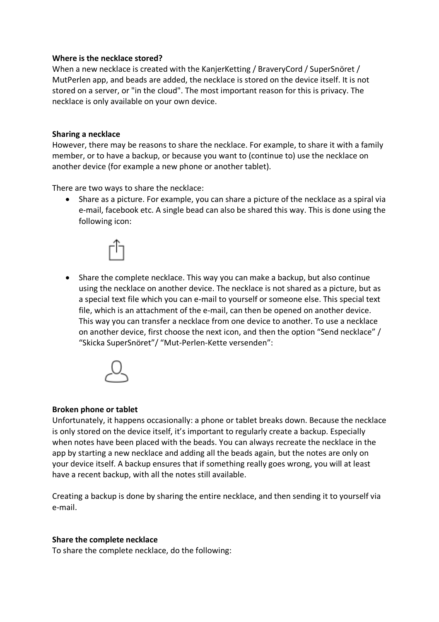### **Where is the necklace stored?**

When a new necklace is created with the KanjerKetting / BraveryCord / SuperSnöret / MutPerlen app, and beads are added, the necklace is stored on the device itself. It is not stored on a server, or "in the cloud". The most important reason for this is privacy. The necklace is only available on your own device.

### **Sharing a necklace**

However, there may be reasons to share the necklace. For example, to share it with a family member, or to have a backup, or because you want to (continue to) use the necklace on another device (for example a new phone or another tablet).

There are two ways to share the necklace:

• Share as a picture. For example, you can share a picture of the necklace as a spiral via e-mail, facebook etc. A single bead can also be shared this way. This is done using the following icon:



• Share the complete necklace. This way you can make a backup, but also continue using the necklace on another device. The necklace is not shared as a picture, but as a special text file which you can e-mail to yourself or someone else. This special text file, which is an attachment of the e-mail, can then be opened on another device. This way you can transfer a necklace from one device to another. To use a necklace on another device, first choose the next icon, and then the option "Send necklace" / "Skicka SuperSnöret"/ "Mut-Perlen-Kette versenden":



# **Broken phone or tablet**

Unfortunately, it happens occasionally: a phone or tablet breaks down. Because the necklace is only stored on the device itself, it's important to regularly create a backup. Especially when notes have been placed with the beads. You can always recreate the necklace in the app by starting a new necklace and adding all the beads again, but the notes are only on your device itself. A backup ensures that if something really goes wrong, you will at least have a recent backup, with all the notes still available.

Creating a backup is done by sharing the entire necklace, and then sending it to yourself via e-mail.

#### **Share the complete necklace**

To share the complete necklace, do the following: